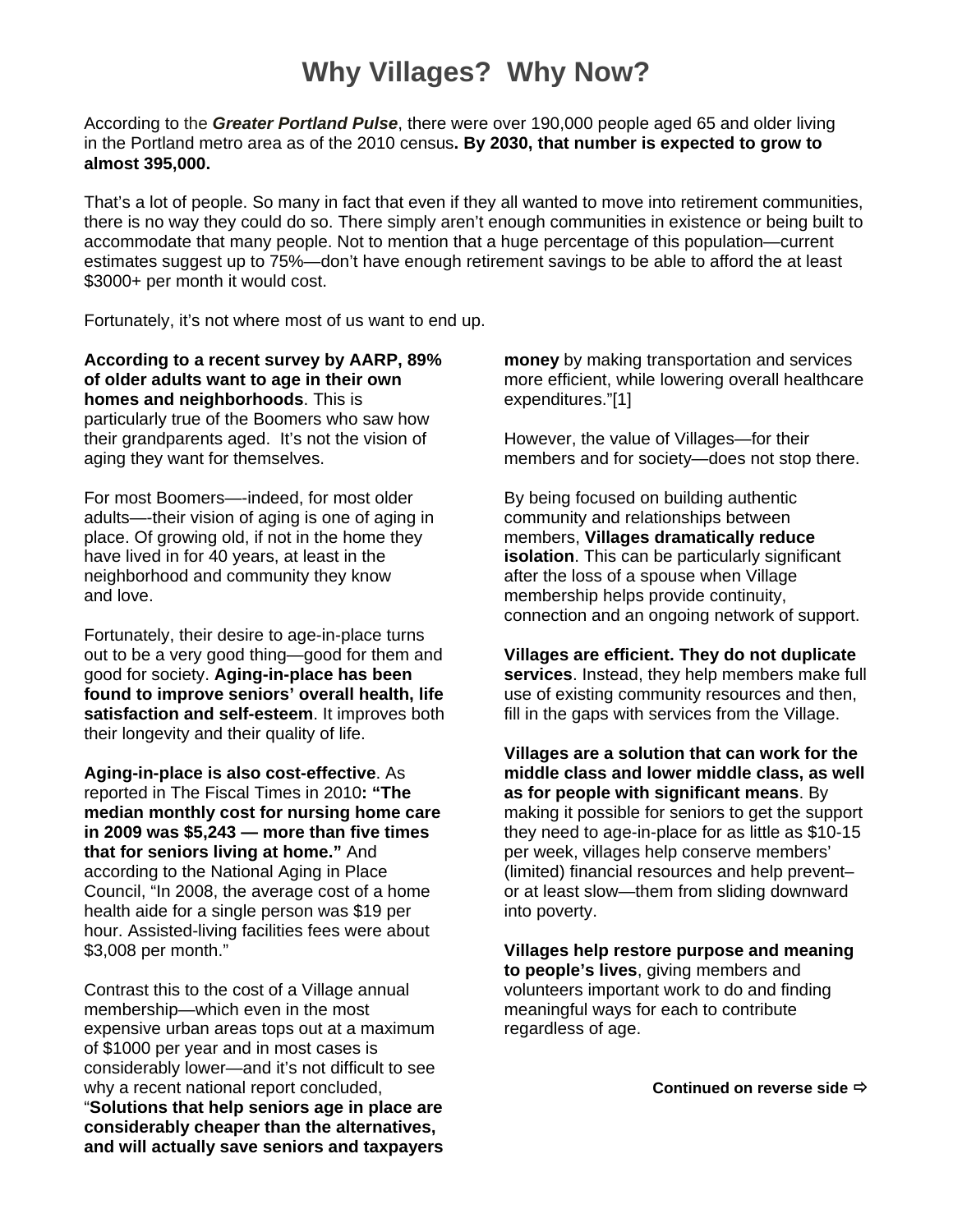## **Why Villages? Why Now?**

According to the *Greater Portland Pulse*, there were over 190,000 people aged 65 and older living in the Portland metro area as of the 2010 census**. By 2030, that number is expected to grow to almost 395,000.** 

That's a lot of people. So many in fact that even if they all wanted to move into retirement communities, there is no way they could do so. There simply aren't enough communities in existence or being built to accommodate that many people. Not to mention that a huge percentage of this population—current estimates suggest up to 75%—don't have enough retirement savings to be able to afford the at least \$3000+ per month it would cost.

Fortunately, it's not where most of us want to end up.

**According to a recent survey by AARP, 89% of older adults want to age in their own homes and neighborhoods**. This is particularly true of the Boomers who saw how their grandparents aged. It's not the vision of aging they want for themselves.

For most Boomers—-indeed, for most older adults—-their vision of aging is one of aging in place. Of growing old, if not in the home they have lived in for 40 years, at least in the neighborhood and community they know and love.

Fortunately, their desire to age-in-place turns out to be a very good thing—good for them and good for society. **Aging-in-place has been found to improve seniors' overall health, life satisfaction and self-esteem**. It improves both their longevity and their quality of life.

**Aging-in-place is also cost-effective**. As reported in The Fiscal Times in 2010**: "The median monthly cost for nursing home care in 2009 was \$5,243 — more than five times that for seniors living at home."** And according to the National Aging in Place Council, "In 2008, the average cost of a home health aide for a single person was \$19 per hour. Assisted-living facilities fees were about \$3,008 per month."

Contrast this to the cost of a Village annual membership—which even in the most expensive urban areas tops out at a maximum of \$1000 per year and in most cases is considerably lower—and it's not difficult to see why a recent national report concluded, "**Solutions that help seniors age in place are considerably cheaper than the alternatives, and will actually save seniors and taxpayers**  **money** by making transportation and services more efficient, while lowering overall healthcare expenditures."[1]

However, the value of Villages—for their members and for society—does not stop there.

By being focused on building authentic community and relationships between members, **Villages dramatically reduce isolation**. This can be particularly significant after the loss of a spouse when Village membership helps provide continuity, connection and an ongoing network of support.

**Villages are efficient. They do not duplicate services**. Instead, they help members make full use of existing community resources and then, fill in the gaps with services from the Village.

**Villages are a solution that can work for the middle class and lower middle class, as well as for people with significant means**. By making it possible for seniors to get the support they need to age-in-place for as little as \$10-15 per week, villages help conserve members' (limited) financial resources and help prevent– or at least slow—them from sliding downward into poverty.

**Villages help restore purpose and meaning to people's lives**, giving members and volunteers important work to do and finding meaningful ways for each to contribute regardless of age.

**Continued on reverse side**